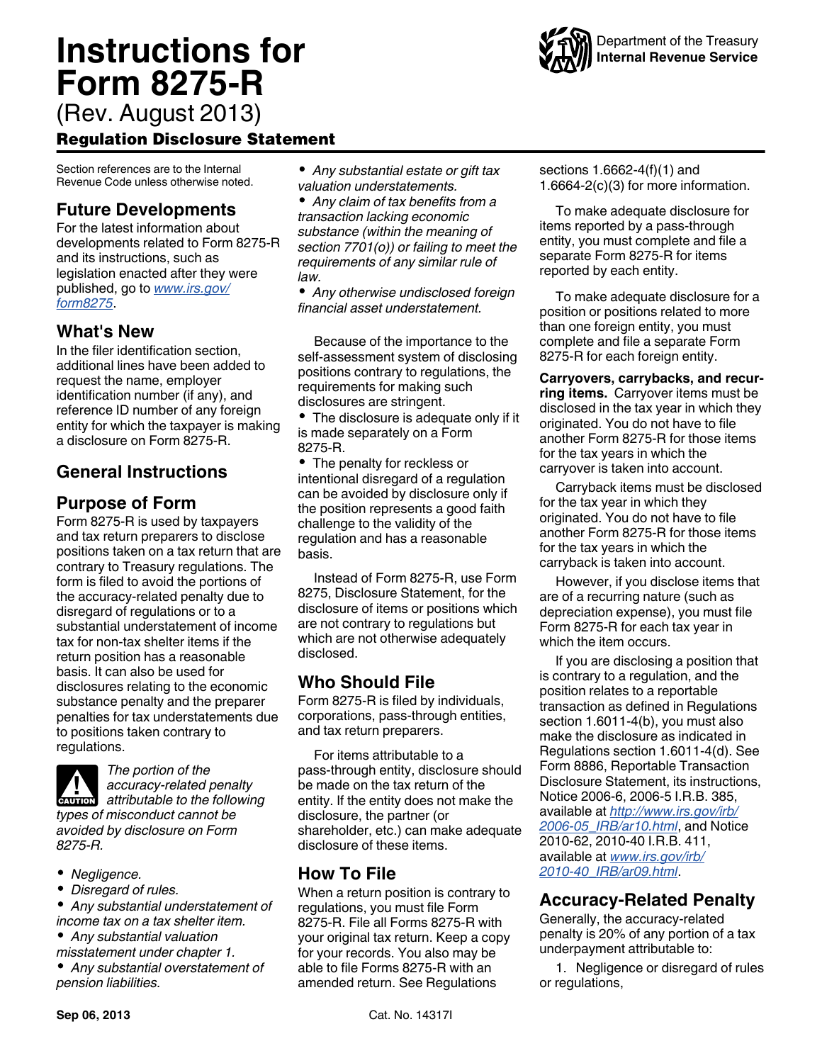

## Regulation Disclosure Statement

Section references are to the Internal Revenue Code unless otherwise noted.

## **Future Developments**

For the latest information about developments related to Form 8275-R and its instructions, such as legislation enacted after they were published, go to *[www.irs.gov/](http://www.irs.gov/form8275) [form8275](http://www.irs.gov/form8275)*.

### **What's New**

In the filer identification section, additional lines have been added to request the name, employer identification number (if any), and reference ID number of any foreign entity for which the taxpayer is making a disclosure on Form 8275-R.

# **General Instructions**

### **Purpose of Form**

Form 8275-R is used by taxpayers and tax return preparers to disclose positions taken on a tax return that are contrary to Treasury regulations. The form is filed to avoid the portions of the accuracy-related penalty due to disregard of regulations or to a substantial understatement of income tax for non-tax shelter items if the return position has a reasonable basis. It can also be used for disclosures relating to the economic substance penalty and the preparer penalties for tax understatements due to positions taken contrary to regulations.



*8275-R.*

*The portion of the accuracy-related penalty*  **accuracy-related penalty**<br> **attributable to the following** *types of misconduct cannot be avoided by disclosure on Form* 

- *Negligence.*
- *Disregard of rules.*

*Any substantial understatement of income tax on a tax shelter item.*

- *Any substantial valuation*
- *misstatement under chapter 1. Any substantial overstatement of pension liabilities.*

*Any substantial estate or gift tax valuation understatements.*

*Any claim of tax benefits from a transaction lacking economic substance (within the meaning of section 7701(o)) or failing to meet the requirements of any similar rule of law.*

*Any otherwise undisclosed foreign financial asset understatement.*

Because of the importance to the self-assessment system of disclosing positions contrary to regulations, the requirements for making such disclosures are stringent.

• The disclosure is adequate only if it is made separately on a Form 8275-R.

• The penalty for reckless or intentional disregard of a regulation can be avoided by disclosure only if the position represents a good faith challenge to the validity of the regulation and has a reasonable basis.

Instead of Form 8275-R, use Form 8275, Disclosure Statement, for the disclosure of items or positions which are not contrary to regulations but which are not otherwise adequately disclosed.

### **Who Should File**

Form 8275-R is filed by individuals, corporations, pass-through entities, and tax return preparers.

For items attributable to a pass-through entity, disclosure should be made on the tax return of the entity. If the entity does not make the disclosure, the partner (or shareholder, etc.) can make adequate disclosure of these items.

## **How To File**

When a return position is contrary to regulations, you must file Form 8275-R. File all Forms 8275-R with your original tax return. Keep a copy for your records. You also may be able to file Forms 8275-R with an amended return. See Regulations

sections 1.6662-4(f)(1) and 1.6664-2(c)(3) for more information.

To make adequate disclosure for items reported by a pass-through entity, you must complete and file a separate Form 8275-R for items reported by each entity.

To make adequate disclosure for a position or positions related to more than one foreign entity, you must complete and file a separate Form 8275-R for each foreign entity.

**Carryovers, carrybacks, and recurring items.** Carryover items must be disclosed in the tax year in which they originated. You do not have to file another Form 8275-R for those items for the tax years in which the carryover is taken into account.

Carryback items must be disclosed for the tax year in which they originated. You do not have to file another Form 8275-R for those items for the tax years in which the carryback is taken into account.

However, if you disclose items that are of a recurring nature (such as depreciation expense), you must file Form 8275-R for each tax year in which the item occurs.

If you are disclosing a position that is contrary to a regulation, and the position relates to a reportable transaction as defined in Regulations section 1.6011-4(b), you must also make the disclosure as indicated in Regulations section 1.6011-4(d). See Form 8886, Reportable Transaction Disclosure Statement, its instructions, Notice 2006-6, 2006-5 I.R.B. 385, available at *[http://www.irs.gov/irb/](http://www.irs.gov/irb/2006-05_IRB/ar10.html) [2006-05\\_IRB/ar10.html](http://www.irs.gov/irb/2006-05_IRB/ar10.html)*, and Notice 2010-62, 2010-40 I.R.B. 411, available at *[www.irs.gov/irb/](http://www.irs.gov/irb/2010-40_IRB/ar09.html) [2010-40\\_IRB/ar09.html](http://www.irs.gov/irb/2010-40_IRB/ar09.html)*.

### **Accuracy-Related Penalty**

Generally, the accuracy-related penalty is 20% of any portion of a tax underpayment attributable to:

1. Negligence or disregard of rules or regulations,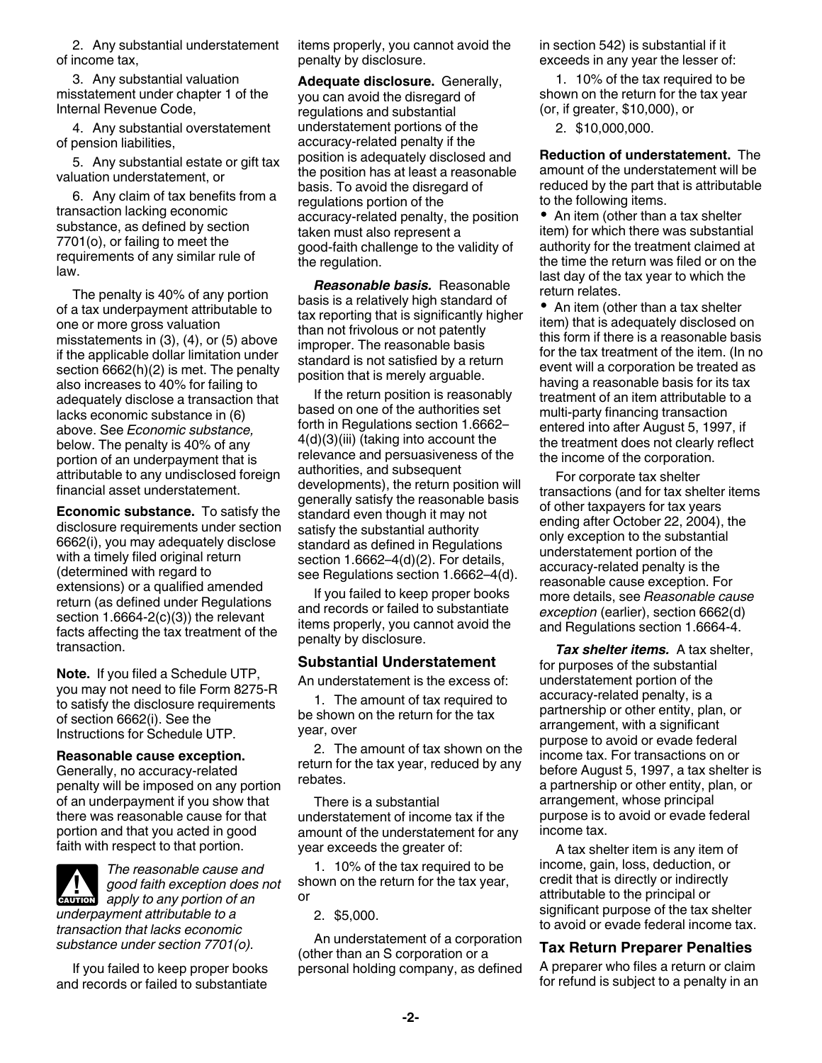2. Any substantial understatement of income tax,

3. Any substantial valuation misstatement under chapter 1 of the Internal Revenue Code,

4. Any substantial overstatement of pension liabilities,

5. Any substantial estate or gift tax valuation understatement, or

6. Any claim of tax benefits from a transaction lacking economic substance, as defined by section 7701(o), or failing to meet the requirements of any similar rule of law.

The penalty is 40% of any portion of a tax underpayment attributable to one or more gross valuation misstatements in (3), (4), or (5) above if the applicable dollar limitation under section 6662(h)(2) is met. The penalty also increases to 40% for failing to adequately disclose a transaction that lacks economic substance in (6) above. See *Economic substance,*  below. The penalty is 40% of any portion of an underpayment that is attributable to any undisclosed foreign financial asset understatement.

**Economic substance.** To satisfy the disclosure requirements under section 6662(i), you may adequately disclose with a timely filed original return (determined with regard to extensions) or a qualified amended return (as defined under Regulations section  $1.6664-2(c)(3)$  the relevant facts affecting the tax treatment of the transaction.

**Note.** If you filed a Schedule UTP, you may not need to file Form 8275-R to satisfy the disclosure requirements of section 6662(i). See the Instructions for Schedule UTP.

#### **Reasonable cause exception.**

Generally, no accuracy-related penalty will be imposed on any portion of an underpayment if you show that there was reasonable cause for that portion and that you acted in good faith with respect to that portion.

*The reasonable cause and good faith exception does not*  **d** good faith exception does<br>apply to any portion of an *underpayment attributable to a transaction that lacks economic substance under section 7701(o).*

If you failed to keep proper books and records or failed to substantiate items properly, you cannot avoid the penalty by disclosure.

**Adequate disclosure.** Generally, you can avoid the disregard of regulations and substantial understatement portions of the accuracy-related penalty if the position is adequately disclosed and the position has at least a reasonable basis. To avoid the disregard of regulations portion of the accuracy-related penalty, the position taken must also represent a good-faith challenge to the validity of the regulation.

*Reasonable basis.* Reasonable basis is a relatively high standard of tax reporting that is significantly higher than not frivolous or not patently improper. The reasonable basis standard is not satisfied by a return position that is merely arguable.

If the return position is reasonably based on one of the authorities set forth in Regulations section 1.6662– 4(d)(3)(iii) (taking into account the relevance and persuasiveness of the authorities, and subsequent developments), the return position will generally satisfy the reasonable basis standard even though it may not satisfy the substantial authority standard as defined in Regulations section 1.6662–4(d)(2). For details, see Regulations section 1.6662–4(d).

If you failed to keep proper books and records or failed to substantiate items properly, you cannot avoid the penalty by disclosure.

#### **Substantial Understatement**

An understatement is the excess of:

1. The amount of tax required to be shown on the return for the tax year, over

2. The amount of tax shown on the return for the tax year, reduced by any rebates.

There is a substantial understatement of income tax if the amount of the understatement for any year exceeds the greater of:

1. 10% of the tax required to be shown on the return for the tax year, or

2. \$5,000.

An understatement of a corporation (other than an S corporation or a personal holding company, as defined in section 542) is substantial if it exceeds in any year the lesser of:

1. 10% of the tax required to be shown on the return for the tax year (or, if greater, \$10,000), or

2. \$10,000,000.

**Reduction of understatement.** The amount of the understatement will be reduced by the part that is attributable to the following items.

• An item (other than a tax shelter item) for which there was substantial authority for the treatment claimed at the time the return was filed or on the last day of the tax year to which the return relates.

• An item (other than a tax shelter item) that is adequately disclosed on this form if there is a reasonable basis for the tax treatment of the item. (In no event will a corporation be treated as having a reasonable basis for its tax treatment of an item attributable to a multi-party financing transaction entered into after August 5, 1997, if the treatment does not clearly reflect the income of the corporation.

For corporate tax shelter transactions (and for tax shelter items of other taxpayers for tax years ending after October 22, 2004), the only exception to the substantial understatement portion of the accuracy-related penalty is the reasonable cause exception. For more details, see *Reasonable cause exception* (earlier), section 6662(d) and Regulations section 1.6664-4.

*Tax shelter items.* A tax shelter, for purposes of the substantial understatement portion of the accuracy-related penalty, is a partnership or other entity, plan, or arrangement, with a significant purpose to avoid or evade federal income tax. For transactions on or before August 5, 1997, a tax shelter is a partnership or other entity, plan, or arrangement, whose principal purpose is to avoid or evade federal income tax.

A tax shelter item is any item of income, gain, loss, deduction, or credit that is directly or indirectly attributable to the principal or significant purpose of the tax shelter to avoid or evade federal income tax.

### **Tax Return Preparer Penalties**

A preparer who files a return or claim for refund is subject to a penalty in an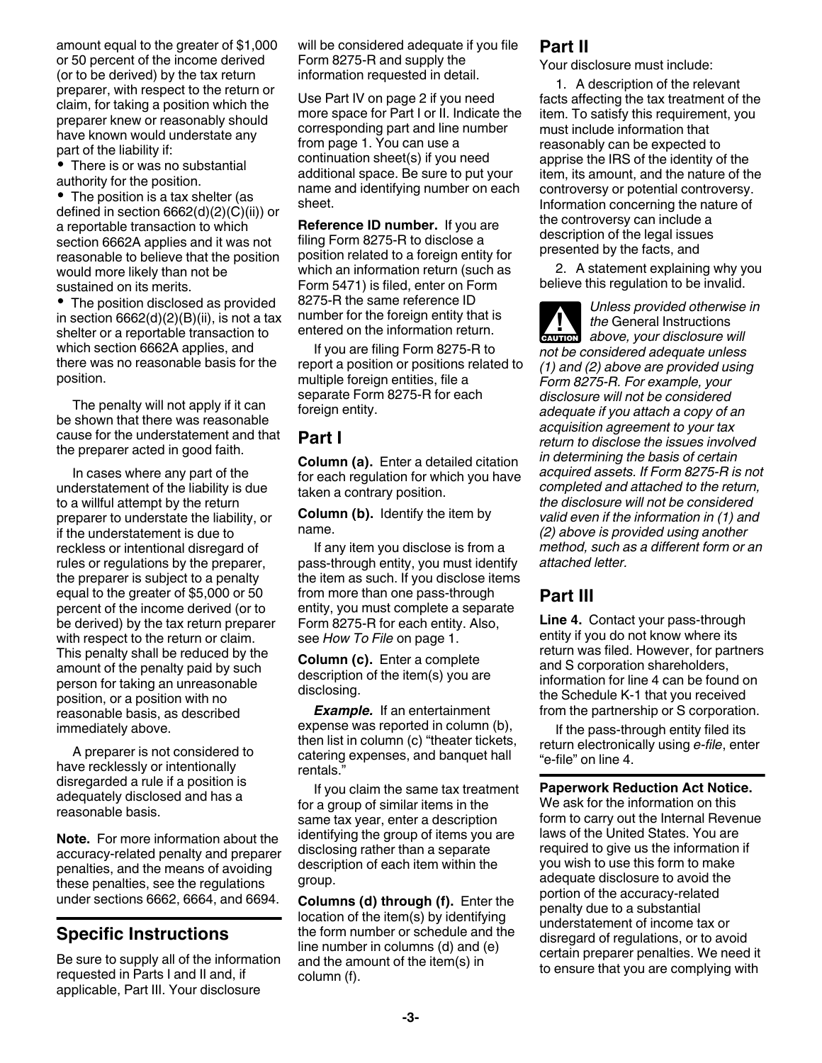amount equal to the greater of \$1,000 or 50 percent of the income derived (or to be derived) by the tax return preparer, with respect to the return or claim, for taking a position which the preparer knew or reasonably should have known would understate any part of the liability if:

There is or was no substantial authority for the position.

• The position is a tax shelter (as defined in section 6662(d)(2)(C)(ii)) or a reportable transaction to which section 6662A applies and it was not reasonable to believe that the position would more likely than not be sustained on its merits.

The position disclosed as provided in section  $6662(d)(2)(B)(ii)$ , is not a tax shelter or a reportable transaction to which section 6662A applies, and there was no reasonable basis for the position.

The penalty will not apply if it can be shown that there was reasonable cause for the understatement and that the preparer acted in good faith.

In cases where any part of the understatement of the liability is due to a willful attempt by the return preparer to understate the liability, or if the understatement is due to reckless or intentional disregard of rules or regulations by the preparer, the preparer is subject to a penalty equal to the greater of \$5,000 or 50 percent of the income derived (or to be derived) by the tax return preparer with respect to the return or claim. This penalty shall be reduced by the amount of the penalty paid by such person for taking an unreasonable position, or a position with no reasonable basis, as described immediately above.

A preparer is not considered to have recklessly or intentionally disregarded a rule if a position is adequately disclosed and has a reasonable basis.

**Note.** For more information about the accuracy-related penalty and preparer penalties, and the means of avoiding these penalties, see the regulations under sections 6662, 6664, and 6694.

## **Specific Instructions**

Be sure to supply all of the information requested in Parts I and II and, if applicable, Part III. Your disclosure

will be considered adequate if you file Form 8275-R and supply the information requested in detail.

Use Part IV on page 2 if you need more space for Part I or II. Indicate the corresponding part and line number from page 1. You can use a continuation sheet(s) if you need additional space. Be sure to put your name and identifying number on each sheet.

**Reference ID number.** If you are filing Form 8275-R to disclose a position related to a foreign entity for which an information return (such as Form 5471) is filed, enter on Form 8275-R the same reference ID number for the foreign entity that is entered on the information return.

If you are filing Form 8275-R to report a position or positions related to multiple foreign entities, file a separate Form 8275-R for each foreign entity.

### **Part I**

**Column (a).** Enter a detailed citation for each regulation for which you have taken a contrary position.

**Column (b).** Identify the item by name.

If any item you disclose is from a pass-through entity, you must identify the item as such. If you disclose items from more than one pass-through entity, you must complete a separate Form 8275-R for each entity. Also, see *How To File* on page 1.

**Column (c).** Enter a complete description of the item(s) you are disclosing.

*Example.* If an entertainment expense was reported in column (b), then list in column (c) "theater tickets, catering expenses, and banquet hall rentals."

If you claim the same tax treatment for a group of similar items in the same tax year, enter a description identifying the group of items you are disclosing rather than a separate description of each item within the group.

**Columns (d) through (f).** Enter the location of the item(s) by identifying the form number or schedule and the line number in columns (d) and (e) and the amount of the item(s) in column (f).

### **Part II**

Your disclosure must include:

1. A description of the relevant facts affecting the tax treatment of the item. To satisfy this requirement, you must include information that reasonably can be expected to apprise the IRS of the identity of the item, its amount, and the nature of the controversy or potential controversy. Information concerning the nature of the controversy can include a description of the legal issues presented by the facts, and

2. A statement explaining why you believe this regulation to be invalid.

*Unless provided otherwise in the* General Instructions **h** *above, your disclosure will*<br> **EXUTION** *not be considered adequate unless (1) and (2) above are provided using Form 8275-R. For example, your disclosure will not be considered adequate if you attach a copy of an acquisition agreement to your tax return to disclose the issues involved in determining the basis of certain acquired assets. If Form 8275-R is not completed and attached to the return, the disclosure will not be considered valid even if the information in (1) and (2) above is provided using another method, such as a different form or an attached letter.*

## **Part III**

**Line 4.** Contact your pass-through entity if you do not know where its return was filed. However, for partners and S corporation shareholders, information for line 4 can be found on the Schedule K-1 that you received from the partnership or S corporation.

If the pass-through entity filed its return electronically using *e-file*, enter "e-file" on line 4.

**Paperwork Reduction Act Notice.**  We ask for the information on this form to carry out the Internal Revenue laws of the United States. You are required to give us the information if you wish to use this form to make adequate disclosure to avoid the portion of the accuracy-related penalty due to a substantial understatement of income tax or disregard of regulations, or to avoid certain preparer penalties. We need it to ensure that you are complying with